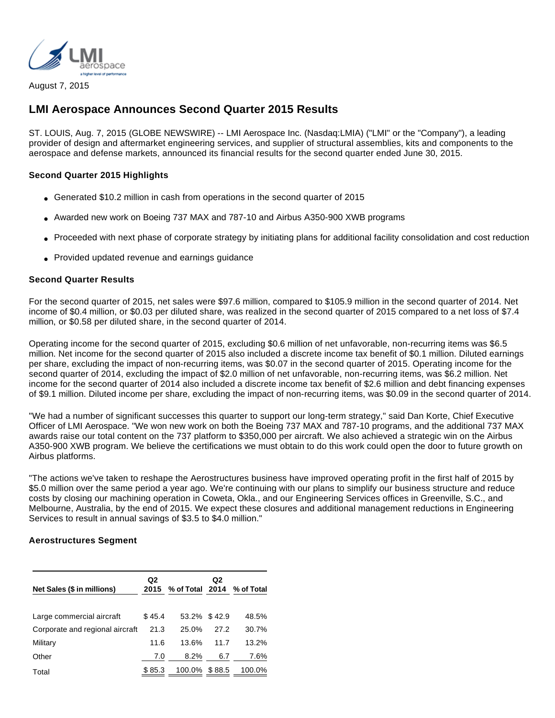

August 7, 2015

# **LMI Aerospace Announces Second Quarter 2015 Results**

ST. LOUIS, Aug. 7, 2015 (GLOBE NEWSWIRE) -- LMI Aerospace Inc. (Nasdaq:LMIA) ("LMI" or the "Company"), a leading provider of design and aftermarket engineering services, and supplier of structural assemblies, kits and components to the aerospace and defense markets, announced its financial results for the second quarter ended June 30, 2015.

## **Second Quarter 2015 Highlights**

- Generated \$10.2 million in cash from operations in the second quarter of 2015
- Awarded new work on Boeing 737 MAX and 787-10 and Airbus A350-900 XWB programs
- Proceeded with next phase of corporate strategy by initiating plans for additional facility consolidation and cost reduction
- Provided updated revenue and earnings quidance

## **Second Quarter Results**

For the second quarter of 2015, net sales were \$97.6 million, compared to \$105.9 million in the second quarter of 2014. Net income of \$0.4 million, or \$0.03 per diluted share, was realized in the second quarter of 2015 compared to a net loss of \$7.4 million, or \$0.58 per diluted share, in the second quarter of 2014.

Operating income for the second quarter of 2015, excluding \$0.6 million of net unfavorable, non-recurring items was \$6.5 million. Net income for the second quarter of 2015 also included a discrete income tax benefit of \$0.1 million. Diluted earnings per share, excluding the impact of non-recurring items, was \$0.07 in the second quarter of 2015. Operating income for the second quarter of 2014, excluding the impact of \$2.0 million of net unfavorable, non-recurring items, was \$6.2 million. Net income for the second quarter of 2014 also included a discrete income tax benefit of \$2.6 million and debt financing expenses of \$9.1 million. Diluted income per share, excluding the impact of non-recurring items, was \$0.09 in the second quarter of 2014.

"We had a number of significant successes this quarter to support our long-term strategy," said Dan Korte, Chief Executive Officer of LMI Aerospace. "We won new work on both the Boeing 737 MAX and 787-10 programs, and the additional 737 MAX awards raise our total content on the 737 platform to \$350,000 per aircraft. We also achieved a strategic win on the Airbus A350-900 XWB program. We believe the certifications we must obtain to do this work could open the door to future growth on Airbus platforms.

"The actions we've taken to reshape the Aerostructures business have improved operating profit in the first half of 2015 by \$5.0 million over the same period a year ago. We're continuing with our plans to simplify our business structure and reduce costs by closing our machining operation in Coweta, Okla., and our Engineering Services offices in Greenville, S.C., and Melbourne, Australia, by the end of 2015. We expect these closures and additional management reductions in Engineering Services to result in annual savings of \$3.5 to \$4.0 million."

### **Aerostructures Segment**

| Net Sales (\$ in millions)      | Q2<br>2015 | % of Total 2014 % of Total | Q <sub>2</sub> |        |
|---------------------------------|------------|----------------------------|----------------|--------|
| Large commercial aircraft       | \$45.4     | 53.2% \$42.9               |                | 48.5%  |
| Corporate and regional aircraft | 21.3       | 25.0%                      | 27.2           | 30.7%  |
| Military                        | 11.6       | 13.6%                      | 11.7           | 13.2%  |
| Other                           | 7.0        | 8.2%                       | 6.7            | 7.6%   |
| Total                           | \$85.3     | 100.0% \$88.5              |                | 100.0% |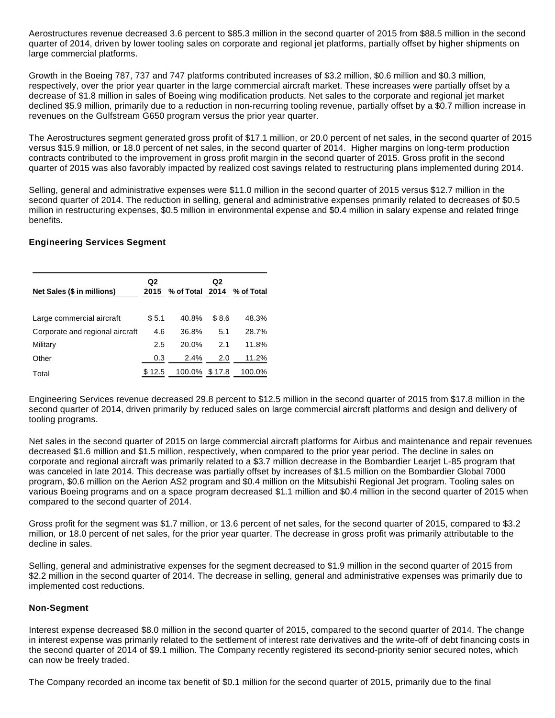Aerostructures revenue decreased 3.6 percent to \$85.3 million in the second quarter of 2015 from \$88.5 million in the second quarter of 2014, driven by lower tooling sales on corporate and regional jet platforms, partially offset by higher shipments on large commercial platforms.

Growth in the Boeing 787, 737 and 747 platforms contributed increases of \$3.2 million, \$0.6 million and \$0.3 million, respectively, over the prior year quarter in the large commercial aircraft market. These increases were partially offset by a decrease of \$1.8 million in sales of Boeing wing modification products. Net sales to the corporate and regional jet market declined \$5.9 million, primarily due to a reduction in non-recurring tooling revenue, partially offset by a \$0.7 million increase in revenues on the Gulfstream G650 program versus the prior year quarter.

The Aerostructures segment generated gross profit of \$17.1 million, or 20.0 percent of net sales, in the second quarter of 2015 versus \$15.9 million, or 18.0 percent of net sales, in the second quarter of 2014. Higher margins on long-term production contracts contributed to the improvement in gross profit margin in the second quarter of 2015. Gross profit in the second quarter of 2015 was also favorably impacted by realized cost savings related to restructuring plans implemented during 2014.

Selling, general and administrative expenses were \$11.0 million in the second quarter of 2015 versus \$12.7 million in the second quarter of 2014. The reduction in selling, general and administrative expenses primarily related to decreases of \$0.5 million in restructuring expenses, \$0.5 million in environmental expense and \$0.4 million in salary expense and related fringe benefits.

## **Engineering Services Segment**

| Net Sales (\$ in millions)      | Q <sub>2</sub><br>2015 | % of Total 2014 % of Total | Q <sub>2</sub> |        |
|---------------------------------|------------------------|----------------------------|----------------|--------|
| Large commercial aircraft       | \$5.1                  | 40.8%                      | \$8.6          | 48.3%  |
| Corporate and regional aircraft | 4.6                    | 36.8%                      | 5.1            | 28.7%  |
| Military                        | 2.5                    | 20.0%                      | 2.1            | 11.8%  |
| Other                           | 0.3                    | 2.4%                       | 2.0            | 11.2%  |
| Total                           | \$12.5                 | 100.0%                     | \$17.8         | 100.0% |

Engineering Services revenue decreased 29.8 percent to \$12.5 million in the second quarter of 2015 from \$17.8 million in the second quarter of 2014, driven primarily by reduced sales on large commercial aircraft platforms and design and delivery of tooling programs.

Net sales in the second quarter of 2015 on large commercial aircraft platforms for Airbus and maintenance and repair revenues decreased \$1.6 million and \$1.5 million, respectively, when compared to the prior year period. The decline in sales on corporate and regional aircraft was primarily related to a \$3.7 million decrease in the Bombardier Learjet L-85 program that was canceled in late 2014. This decrease was partially offset by increases of \$1.5 million on the Bombardier Global 7000 program, \$0.6 million on the Aerion AS2 program and \$0.4 million on the Mitsubishi Regional Jet program. Tooling sales on various Boeing programs and on a space program decreased \$1.1 million and \$0.4 million in the second quarter of 2015 when compared to the second quarter of 2014.

Gross profit for the segment was \$1.7 million, or 13.6 percent of net sales, for the second quarter of 2015, compared to \$3.2 million, or 18.0 percent of net sales, for the prior year quarter. The decrease in gross profit was primarily attributable to the decline in sales.

Selling, general and administrative expenses for the segment decreased to \$1.9 million in the second quarter of 2015 from \$2.2 million in the second quarter of 2014. The decrease in selling, general and administrative expenses was primarily due to implemented cost reductions.

### **Non-Segment**

Interest expense decreased \$8.0 million in the second quarter of 2015, compared to the second quarter of 2014. The change in interest expense was primarily related to the settlement of interest rate derivatives and the write-off of debt financing costs in the second quarter of 2014 of \$9.1 million. The Company recently registered its second-priority senior secured notes, which can now be freely traded.

The Company recorded an income tax benefit of \$0.1 million for the second quarter of 2015, primarily due to the final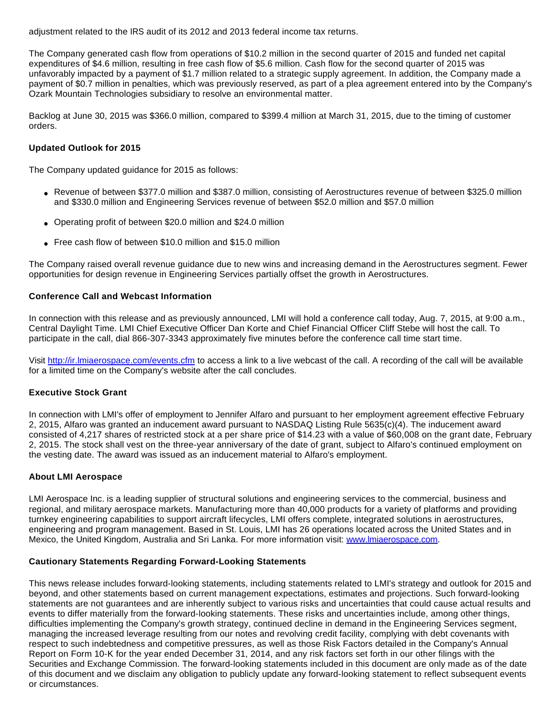adjustment related to the IRS audit of its 2012 and 2013 federal income tax returns.

The Company generated cash flow from operations of \$10.2 million in the second quarter of 2015 and funded net capital expenditures of \$4.6 million, resulting in free cash flow of \$5.6 million. Cash flow for the second quarter of 2015 was unfavorably impacted by a payment of \$1.7 million related to a strategic supply agreement. In addition, the Company made a payment of \$0.7 million in penalties, which was previously reserved, as part of a plea agreement entered into by the Company's Ozark Mountain Technologies subsidiary to resolve an environmental matter.

Backlog at June 30, 2015 was \$366.0 million, compared to \$399.4 million at March 31, 2015, due to the timing of customer orders.

## **Updated Outlook for 2015**

The Company updated guidance for 2015 as follows:

- Revenue of between \$377.0 million and \$387.0 million, consisting of Aerostructures revenue of between \$325.0 million and \$330.0 million and Engineering Services revenue of between \$52.0 million and \$57.0 million
- Operating profit of between \$20.0 million and \$24.0 million
- Free cash flow of between \$10.0 million and \$15.0 million

The Company raised overall revenue guidance due to new wins and increasing demand in the Aerostructures segment. Fewer opportunities for design revenue in Engineering Services partially offset the growth in Aerostructures.

#### **Conference Call and Webcast Information**

In connection with this release and as previously announced, LMI will hold a conference call today, Aug. 7, 2015, at 9:00 a.m., Central Daylight Time. LMI Chief Executive Officer Dan Korte and Chief Financial Officer Cliff Stebe will host the call. To participate in the call, dial 866-307-3343 approximately five minutes before the conference call time start time.

Visit [http://ir.lmiaerospace.com/events.cfm](http://www.globenewswire.com/newsroom/ctr?d=10145200&l=28&u=http%3A%2F%2Fir.lmiaerospace.com%2Fevents.cfm) to access a link to a live webcast of the call. A recording of the call will be available for a limited time on the Company's website after the call concludes.

### **Executive Stock Grant**

In connection with LMI's offer of employment to Jennifer Alfaro and pursuant to her employment agreement effective February 2, 2015, Alfaro was granted an inducement award pursuant to NASDAQ Listing Rule 5635(c)(4). The inducement award consisted of 4,217 shares of restricted stock at a per share price of \$14.23 with a value of \$60,008 on the grant date, February 2, 2015. The stock shall vest on the three-year anniversary of the date of grant, subject to Alfaro's continued employment on the vesting date. The award was issued as an inducement material to Alfaro's employment.

### **About LMI Aerospace**

LMI Aerospace Inc. is a leading supplier of structural solutions and engineering services to the commercial, business and regional, and military aerospace markets. Manufacturing more than 40,000 products for a variety of platforms and providing turnkey engineering capabilities to support aircraft lifecycles, LMI offers complete, integrated solutions in aerostructures, engineering and program management. Based in St. Louis, LMI has 26 operations located across the United States and in Mexico, the United Kingdom, Australia and Sri Lanka. For more information visit: [www.lmiaerospace.com.](http://www.globenewswire.com/newsroom/ctr?d=10145200&l=32&a=www.lmiaerospace.com&u=http%3A%2F%2Fwww.lmiaerospace.com)

# **Cautionary Statements Regarding Forward-Looking Statements**

This news release includes forward-looking statements, including statements related to LMI's strategy and outlook for 2015 and beyond, and other statements based on current management expectations, estimates and projections. Such forward-looking statements are not guarantees and are inherently subject to various risks and uncertainties that could cause actual results and events to differ materially from the forward-looking statements. These risks and uncertainties include, among other things, difficulties implementing the Company's growth strategy, continued decline in demand in the Engineering Services segment, managing the increased leverage resulting from our notes and revolving credit facility, complying with debt covenants with respect to such indebtedness and competitive pressures, as well as those Risk Factors detailed in the Company's Annual Report on Form 10-K for the year ended December 31, 2014, and any risk factors set forth in our other filings with the Securities and Exchange Commission. The forward-looking statements included in this document are only made as of the date of this document and we disclaim any obligation to publicly update any forward-looking statement to reflect subsequent events or circumstances.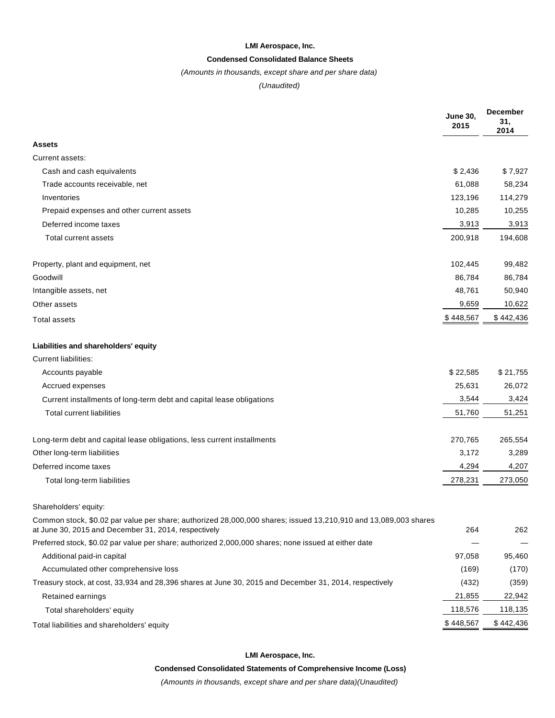#### **LMI Aerospace, Inc.**

#### **Condensed Consolidated Balance Sheets**

#### (Amounts in thousands, except share and per share data)

### (Unaudited)

|                                                                                                                                                                         | <b>June 30,</b><br>2015 | <b>December</b><br>31,<br>2014 |
|-------------------------------------------------------------------------------------------------------------------------------------------------------------------------|-------------------------|--------------------------------|
| Assets                                                                                                                                                                  |                         |                                |
| Current assets:                                                                                                                                                         |                         |                                |
| Cash and cash equivalents                                                                                                                                               | \$2,436                 | \$7,927                        |
| Trade accounts receivable, net                                                                                                                                          | 61,088                  | 58,234                         |
| Inventories                                                                                                                                                             | 123,196                 | 114,279                        |
| Prepaid expenses and other current assets                                                                                                                               | 10,285                  | 10,255                         |
| Deferred income taxes                                                                                                                                                   | 3,913                   | 3,913                          |
| Total current assets                                                                                                                                                    | 200,918                 | 194,608                        |
| Property, plant and equipment, net                                                                                                                                      | 102,445                 | 99,482                         |
| Goodwill                                                                                                                                                                | 86,784                  | 86,784                         |
| Intangible assets, net                                                                                                                                                  | 48,761                  | 50,940                         |
| Other assets                                                                                                                                                            | 9,659                   | 10,622                         |
| Total assets                                                                                                                                                            | \$448,567               | \$442,436                      |
| Liabilities and shareholders' equity                                                                                                                                    |                         |                                |
| <b>Current liabilities:</b>                                                                                                                                             |                         |                                |
| Accounts payable                                                                                                                                                        | \$22,585                | \$21,755                       |
| Accrued expenses                                                                                                                                                        | 25,631                  | 26,072                         |
| Current installments of long-term debt and capital lease obligations                                                                                                    | 3,544                   | 3,424                          |
| <b>Total current liabilities</b>                                                                                                                                        | 51,760                  | 51,251                         |
| Long-term debt and capital lease obligations, less current installments                                                                                                 | 270,765                 | 265,554                        |
| Other long-term liabilities                                                                                                                                             | 3,172                   | 3,289                          |
| Deferred income taxes                                                                                                                                                   | 4,294                   | 4,207                          |
| Total long-term liabilities                                                                                                                                             | 278,231                 | 273,050                        |
| Shareholders' equity:                                                                                                                                                   |                         |                                |
| Common stock, \$0.02 par value per share; authorized 28,000,000 shares; issued 13,210,910 and 13,089,003 shares<br>at June 30, 2015 and December 31, 2014, respectively | 264                     | 262                            |
| Preferred stock, \$0.02 par value per share; authorized 2,000,000 shares; none issued at either date                                                                    |                         |                                |
| Additional paid-in capital                                                                                                                                              | 97,058                  | 95,460                         |
| Accumulated other comprehensive loss                                                                                                                                    | (169)                   | (170)                          |
| Treasury stock, at cost, 33,934 and 28,396 shares at June 30, 2015 and December 31, 2014, respectively                                                                  | (432)                   | (359)                          |
| Retained earnings                                                                                                                                                       | 21,855                  | 22,942                         |
| Total shareholders' equity                                                                                                                                              | 118,576                 | 118,135                        |
| Total liabilities and shareholders' equity                                                                                                                              | \$448,567               | \$442,436                      |

#### **LMI Aerospace, Inc.**

**Condensed Consolidated Statements of Comprehensive Income (Loss)**

(Amounts in thousands, except share and per share data)(Unaudited)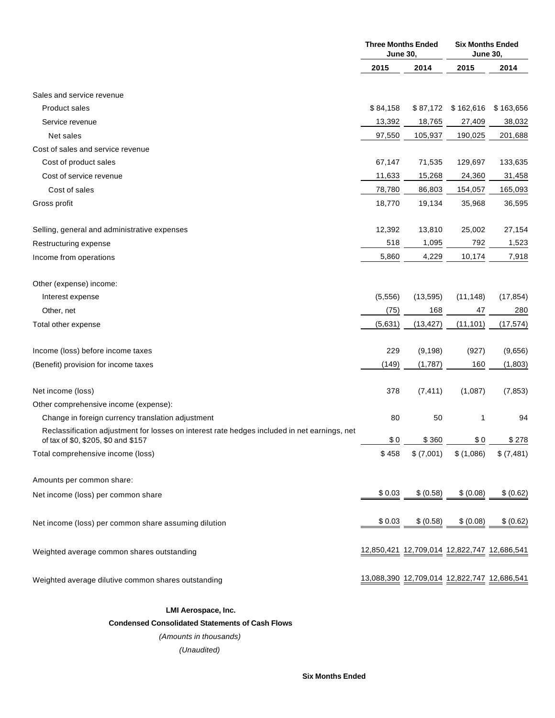|                                                                                                                                     | <b>Three Months Ended</b><br><b>June 30,</b> |                                             | <b>Six Months Ended</b><br><b>June 30,</b> |            |
|-------------------------------------------------------------------------------------------------------------------------------------|----------------------------------------------|---------------------------------------------|--------------------------------------------|------------|
|                                                                                                                                     | 2015                                         | 2014                                        | 2015                                       | 2014       |
| Sales and service revenue                                                                                                           |                                              |                                             |                                            |            |
| <b>Product sales</b>                                                                                                                | \$84,158                                     | \$87,172                                    | \$162,616                                  | \$163,656  |
| Service revenue                                                                                                                     | 13,392                                       | 18,765                                      | 27,409                                     | 38,032     |
| Net sales                                                                                                                           | 97,550                                       | 105,937                                     | 190,025                                    | 201,688    |
| Cost of sales and service revenue                                                                                                   |                                              |                                             |                                            |            |
| Cost of product sales                                                                                                               | 67,147                                       | 71,535                                      | 129,697                                    | 133,635    |
| Cost of service revenue                                                                                                             | 11,633                                       | 15,268                                      | 24,360                                     | 31,458     |
| Cost of sales                                                                                                                       | 78,780                                       | 86,803                                      | 154,057                                    | 165,093    |
| Gross profit                                                                                                                        | 18,770                                       | 19,134                                      | 35,968                                     | 36,595     |
| Selling, general and administrative expenses                                                                                        | 12,392                                       | 13,810                                      | 25,002                                     | 27,154     |
| Restructuring expense                                                                                                               | 518                                          | 1,095                                       | 792                                        | 1,523      |
| Income from operations                                                                                                              | 5,860                                        | 4,229                                       | 10,174                                     | 7,918      |
| Other (expense) income:                                                                                                             |                                              |                                             |                                            |            |
| Interest expense                                                                                                                    | (5, 556)                                     | (13, 595)                                   | (11, 148)                                  | (17, 854)  |
| Other, net                                                                                                                          | (75)                                         | 168                                         | 47                                         | 280        |
| Total other expense                                                                                                                 | (5,631)                                      | (13, 427)                                   | (11, 101)                                  | (17, 574)  |
| Income (loss) before income taxes                                                                                                   | 229                                          | (9, 198)                                    | (927)                                      | (9,656)    |
| (Benefit) provision for income taxes                                                                                                | (149)                                        | (1,787)                                     | 160                                        | (1,803)    |
| Net income (loss)                                                                                                                   | 378                                          | (7, 411)                                    | (1,087)                                    | (7, 853)   |
| Other comprehensive income (expense):                                                                                               |                                              |                                             |                                            |            |
| Change in foreign currency translation adjustment                                                                                   | 80                                           | 50                                          | 1                                          | 94         |
| Reclassification adjustment for losses on interest rate hedges included in net earnings, net<br>of tax of \$0, \$205, \$0 and \$157 | \$0                                          | \$360                                       | \$0                                        | \$278      |
| Total comprehensive income (loss)                                                                                                   | \$458                                        | \$ (7,001)                                  | \$(1,086)                                  | \$ (7,481) |
| Amounts per common share:                                                                                                           |                                              |                                             |                                            |            |
| Net income (loss) per common share                                                                                                  | \$0.03                                       | \$ (0.58)                                   | \$ (0.08)                                  | \$ (0.62)  |
| Net income (loss) per common share assuming dilution                                                                                | \$0.03                                       | \$ (0.58)                                   | \$ (0.08)                                  | \$ (0.62)  |
| Weighted average common shares outstanding                                                                                          |                                              |                                             |                                            |            |
| Weighted average dilutive common shares outstanding                                                                                 |                                              | 13,088,390 12,709,014 12,822,747 12,686,541 |                                            |            |

**LMI Aerospace, Inc.**

**Condensed Consolidated Statements of Cash Flows**

(Amounts in thousands)

(Unaudited)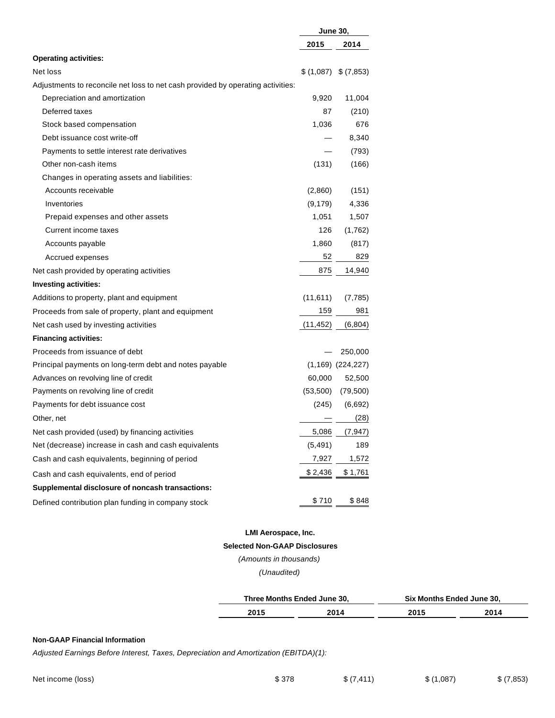|                                                                                 | <b>June 30,</b> |                       |
|---------------------------------------------------------------------------------|-----------------|-----------------------|
|                                                                                 | 2015            | 2014                  |
| <b>Operating activities:</b>                                                    |                 |                       |
| Net loss                                                                        |                 | $(1,087)$ \$ (7,853)  |
| Adjustments to reconcile net loss to net cash provided by operating activities: |                 |                       |
| Depreciation and amortization                                                   | 9,920           | 11,004                |
| Deferred taxes                                                                  | 87              | (210)                 |
| Stock based compensation                                                        | 1,036           | 676                   |
| Debt issuance cost write-off                                                    |                 | 8,340                 |
| Payments to settle interest rate derivatives                                    |                 | (793)                 |
| Other non-cash items                                                            | (131)           | (166)                 |
| Changes in operating assets and liabilities:                                    |                 |                       |
| Accounts receivable                                                             | (2,860)         | (151)                 |
| Inventories                                                                     | (9, 179)        | 4,336                 |
| Prepaid expenses and other assets                                               | 1,051           | 1,507                 |
| Current income taxes                                                            | 126             | (1,762)               |
| Accounts payable                                                                | 1,860           | (817)                 |
| Accrued expenses                                                                | 52              | 829                   |
| Net cash provided by operating activities                                       | 875             | 14,940                |
| <b>Investing activities:</b>                                                    |                 |                       |
| Additions to property, plant and equipment                                      | (11,611)        | (7, 785)              |
| Proceeds from sale of property, plant and equipment                             | 159             | 981                   |
| Net cash used by investing activities                                           | (11, 452)       | (6,804)               |
| <b>Financing activities:</b>                                                    |                 |                       |
| Proceeds from issuance of debt                                                  |                 | 250,000               |
| Principal payments on long-term debt and notes payable                          |                 | $(1,169)$ $(224,227)$ |
| Advances on revolving line of credit                                            | 60,000          | 52,500                |
| Payments on revolving line of credit                                            | (53, 500)       | (79, 500)             |
| Payments for debt issuance cost                                                 | (245)           | (6,692)               |
| Other, net                                                                      |                 | (28)                  |
| Net cash provided (used) by financing activities                                |                 | 5,086 (7,947)         |
| Net (decrease) increase in cash and cash equivalents                            | (5, 491)        | 189                   |
| Cash and cash equivalents, beginning of period                                  | 7,927           | <u>1,572</u>          |
| Cash and cash equivalents, end of period                                        | \$2,436         | \$1,761               |
| Supplemental disclosure of noncash transactions:                                |                 |                       |
| Defined contribution plan funding in company stock                              | \$710           | \$848                 |

# **LMI Aerospace, Inc.**

### **Selected Non-GAAP Disclosures**

(Amounts in thousands)

(Unaudited)

|       | Three Months Ended June 30. | <b>'June 30.</b><br>Six |             |
|-------|-----------------------------|-------------------------|-------------|
| 304 E | nn a                        | <b>OO4F</b><br>20 I J   | <b>2011</b> |

#### **Non-GAAP Financial Information**

Adjusted Earnings Before Interest, Taxes, Depreciation and Amortization (EBITDA)(1):

Net income (loss) \$378 \$378 \$(7,411) \$(1,087) \$(7,853)